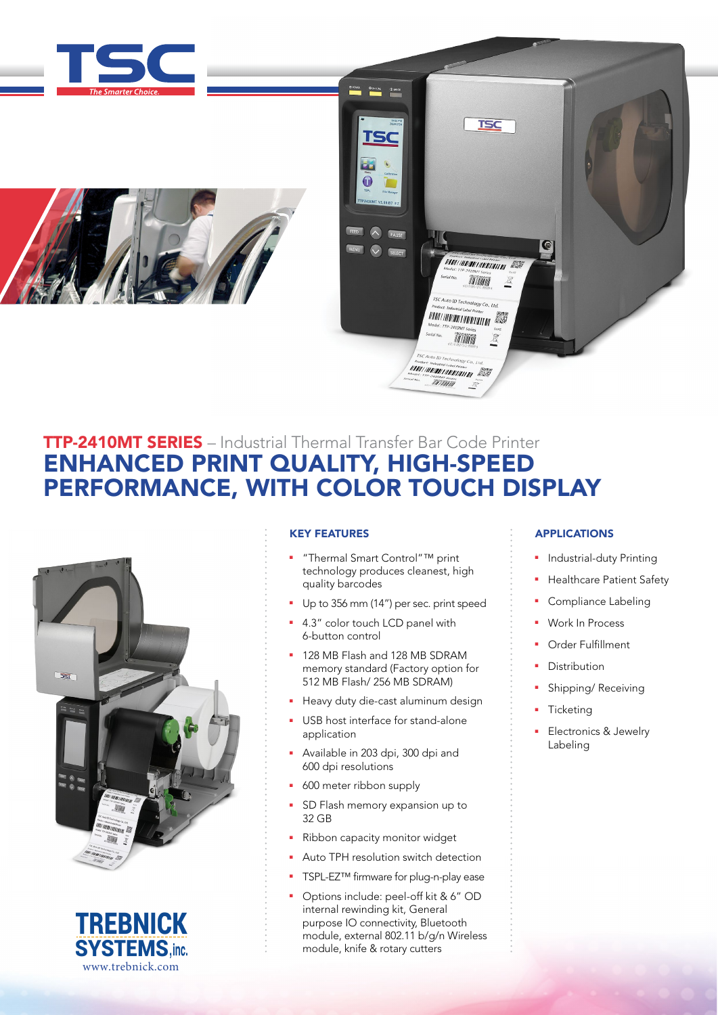





# TTP-2410MT SERIES – Industrial Thermal Transfer Bar Code Printer ENHANCED PRINT QUALITY, HIGH-SPEED PERFORMANCE, WITH COLOR TOUCH DISPLAY





# KEY FEATURES

- <sup>n</sup> "Thermal Smart Control"™ print technology produces cleanest, high quality barcodes
- Up to 356 mm (14") per sec. print speed
- 4.3" color touch LCD panel with 6-button control
- **128 MB Flash and 128 MB SDRAM** memory standard (Factory option for 512 MB Flash/ 256 MB SDRAM)
- Heavy duty die-cast aluminum design
- USB host interface for stand-alone application
- <sup>n</sup> Available in 203 dpi, 300 dpi and 600 dpi resolutions
- **600** meter ribbon supply
- SD Flash memory expansion up to 32 GB
- Ribbon capacity monitor widget
- Auto TPH resolution switch detection
- TSPL-EZ™ firmware for plug-n-play ease
- Options include: peel-off kit & 6" OD internal rewinding kit, General purpose IO connectivity, Bluetooth module, external 802.11 b/g/n Wireless module, knife & rotary cutters

# APPLICATIONS

- <sup>n</sup> Industrial-duty Printing
- Healthcare Patient Safety
- **•** Compliance Labeling
- Work In Process
- Order Fulfillment
- Distribution
- Shipping/ Receiving
- **Ticketing**
- Electronics & Jewelry Labeling